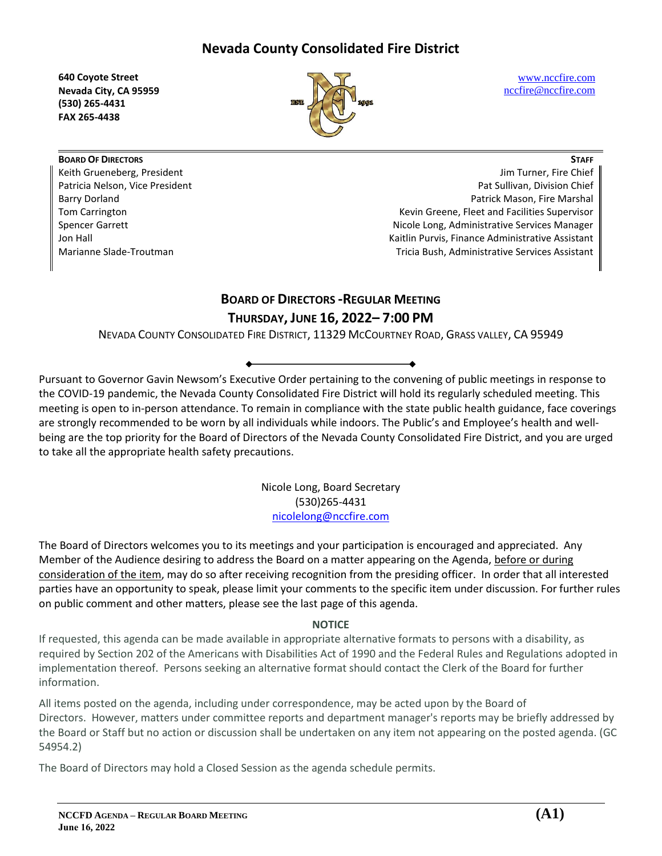**640 Coyote Street Nevada City, CA 95959 (530) 265-4431 FAX 265-4438**



[www.nccfire.com](http://www.nccfire.com/) [nccfire@nccfire.com](mailto:nccfire@nccfire.com)

**STAFF**

**BOARD OF DIRECTORS** Keith Grueneberg, President Patricia Nelson, Vice President Barry Dorland Tom Carrington Spencer Garrett Jon Hall Marianne Slade-Troutman

Jim Turner, Fire Chief Pat Sullivan, Division Chief Patrick Mason, Fire Marshal Kevin Greene, Fleet and Facilities Supervisor Nicole Long, Administrative Services Manager Kaitlin Purvis, Finance Administrative Assistant Tricia Bush, Administrative Services Assistant

# **BOARD OF DIRECTORS -REGULAR MEETING**

## **THURSDAY, JUNE 16, 2022– 7:00 PM**

NEVADA COUNTY CONSOLIDATED FIRE DISTRICT, 11329 MCCOURTNEY ROAD, GRASS VALLEY, CA 95949

Pursuant to Governor Gavin Newsom's Executive Order pertaining to the convening of public meetings in response to the COVID-19 pandemic, the Nevada County Consolidated Fire District will hold its regularly scheduled meeting. This meeting is open to in-person attendance. To remain in compliance with the state public health guidance, face coverings are strongly recommended to be worn by all individuals while indoors. The Public's and Employee's health and wellbeing are the top priority for the Board of Directors of the Nevada County Consolidated Fire District, and you are urged to take all the appropriate health safety precautions.

> Nicole Long, Board Secretary (530)265-4431 [nicolelong@nccfire.com](mailto:nicolelong@nccfire.com)

The Board of Directors welcomes you to its meetings and your participation is encouraged and appreciated. Any Member of the Audience desiring to address the Board on a matter appearing on the Agenda, before or during consideration of the item, may do so after receiving recognition from the presiding officer. In order that all interested parties have an opportunity to speak, please limit your comments to the specific item under discussion. For further rules on public comment and other matters, please see the last page of this agenda.

### **NOTICE**

If requested, this agenda can be made available in appropriate alternative formats to persons with a disability, as required by Section 202 of the Americans with Disabilities Act of 1990 and the Federal Rules and Regulations adopted in implementation thereof. Persons seeking an alternative format should contact the Clerk of the Board for further information.

All items posted on the agenda, including under correspondence, may be acted upon by the Board of Directors. However, matters under committee reports and department manager's reports may be briefly addressed by the Board or Staff but no action or discussion shall be undertaken on any item not appearing on the posted agenda. (GC 54954.2)

The Board of Directors may hold a Closed Session as the agenda schedule permits.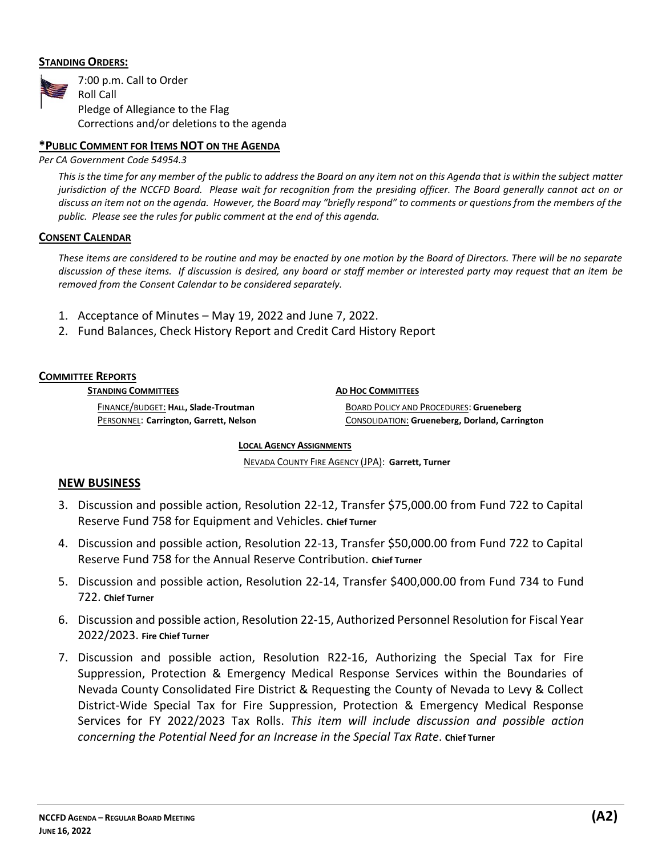### **STANDING ORDERS:**



### **\*PUBLIC COMMENT FOR ITEMS NOT ON THE AGENDA**

*Per CA Government Code 54954.3*

*This is the time for any member of the public to address the Board on any item not on this Agenda that is within the subject matter jurisdiction of the NCCFD Board. Please wait for recognition from the presiding officer. The Board generally cannot act on or discuss an item not on the agenda. However, the Board may "briefly respond" to comments or questions from the members of the public. Please see the rules for public comment at the end of this agenda.*

#### **CONSENT CALENDAR**

*These items are considered to be routine and may be enacted by one motion by the Board of Directors. There will be no separate discussion of these items. If discussion is desired, any board or staff member or interested party may request that an item be removed from the Consent Calendar to be considered separately.* 

- 1. Acceptance of Minutes May 19, 2022 and June 7, 2022.
- 2. Fund Balances, Check History Report and Credit Card History Report

### **COMMITTEE REPORTS**

**STANDING COMMITTEES**

**AD HOC COMMITTEES**

FINANCE/BUDGET: **HALL, Slade-Troutman**  PERSONNEL: **Carrington, Garrett, Nelson**

BOARD POLICY AND PROCEDURES: **Grueneberg** CONSOLIDATION: **Grueneberg, Dorland, Carrington**

### **LOCAL AGENCY ASSIGNMENTS**

NEVADA COUNTY FIRE AGENCY (JPA): **Garrett, Turner**

### **NEW BUSINESS**

- 3. Discussion and possible action, Resolution 22-12, Transfer \$75,000.00 from Fund 722 to Capital Reserve Fund 758 for Equipment and Vehicles. **Chief Turner**
- 4. Discussion and possible action, Resolution 22-13, Transfer \$50,000.00 from Fund 722 to Capital Reserve Fund 758 for the Annual Reserve Contribution. **Chief Turner**
- 5. Discussion and possible action, Resolution 22-14, Transfer \$400,000.00 from Fund 734 to Fund 722. **Chief Turner**
- 6. Discussion and possible action, Resolution 22-15, Authorized Personnel Resolution for Fiscal Year 2022/2023. **Fire Chief Turner**
- 7. Discussion and possible action, Resolution R22-16, Authorizing the Special Tax for Fire Suppression, Protection & Emergency Medical Response Services within the Boundaries of Nevada County Consolidated Fire District & Requesting the County of Nevada to Levy & Collect District-Wide Special Tax for Fire Suppression, Protection & Emergency Medical Response Services for FY 2022/2023 Tax Rolls. *This item will include discussion and possible action concerning the Potential Need for an Increase in the Special Tax Rate*. **Chief Turner**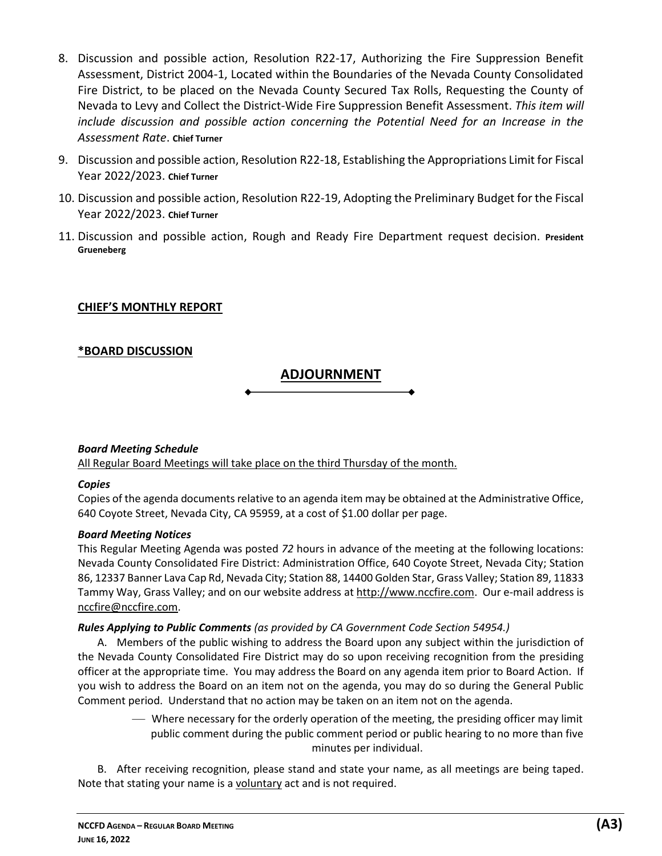- 8. Discussion and possible action, Resolution R22-17, Authorizing the Fire Suppression Benefit Assessment, District 2004-1, Located within the Boundaries of the Nevada County Consolidated Fire District, to be placed on the Nevada County Secured Tax Rolls, Requesting the County of Nevada to Levy and Collect the District-Wide Fire Suppression Benefit Assessment. *This item will include discussion and possible action concerning the Potential Need for an Increase in the Assessment Rate*. **Chief Turner**
- 9. Discussion and possible action, Resolution R22-18, Establishing the Appropriations Limit for Fiscal Year 2022/2023. **Chief Turner**
- 10. Discussion and possible action, Resolution R22-19, Adopting the Preliminary Budget for the Fiscal Year 2022/2023. **Chief Turner**
- 11. Discussion and possible action, Rough and Ready Fire Department request decision. **President Grueneberg**

### **CHIEF'S MONTHLY REPORT**

### **\*BOARD DISCUSSION**

### **ADJOURNMENT**

### *Board Meeting Schedule*

All Regular Board Meetings will take place on the third Thursday of the month.

### *Copies*

Copies of the agenda documents relative to an agenda item may be obtained at the Administrative Office, 640 Coyote Street, Nevada City, CA 95959, at a cost of \$1.00 dollar per page.

### *Board Meeting Notices*

This Regular Meeting Agenda was posted *72* hours in advance of the meeting at the following locations: Nevada County Consolidated Fire District: Administration Office, 640 Coyote Street, Nevada City; Station 86, 12337 Banner Lava Cap Rd, Nevada City; Station 88, 14400 Golden Star, Grass Valley; Station 89, 11833 Tammy Way, Grass Valley; and on our website address at http://www.nccfire.com. Our e-mail address is [nccfire@nccfire.com.](mailto:nccfire@nccn.net)

### *Rules Applying to Public Comments (as provided by CA Government Code Section 54954.)*

A. Members of the public wishing to address the Board upon any subject within the jurisdiction of the Nevada County Consolidated Fire District may do so upon receiving recognition from the presiding officer at the appropriate time. You may address the Board on any agenda item prior to Board Action. If you wish to address the Board on an item not on the agenda, you may do so during the General Public Comment period. Understand that no action may be taken on an item not on the agenda.

> — Where necessary for the orderly operation of the meeting, the presiding officer may limit public comment during the public comment period or public hearing to no more than five minutes per individual.

B. After receiving recognition, please stand and state your name, as all meetings are being taped. Note that stating your name is a voluntary act and is not required.